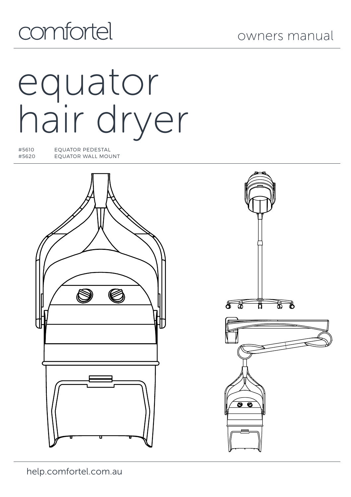## comfortel

owners manual

# equator hair dryer

#5610 EQUATOR PEDESTAL EQUATOR WALL MOUNT



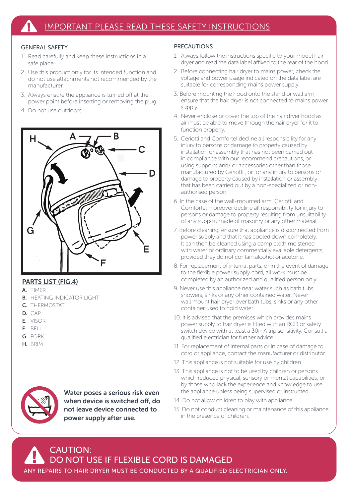#### GENERAL SAFETY

- 1. Read carefully and keep these instructions in a safe place.
- 2. Use this product only for its intended function and do not use attachments not recommended by the manufacturer.
- 3. Always ensure the appliance is turned off at the power point before inserting or removing the plug.
- 4. Do not use outdoors.



#### PARTS LIST (FIG.4)

- A. TIMER
- **B.** HEATING INDICATOR LIGHT
- C. THERMOSTAT
- D. CAP
- E. VISOR
- F. BELL
- G. FORK
- H. BRIM



Water poses a serious risk even when device is switched off, do not leave device connected to power supply after use.

#### PRECAUTIONS

- 1. Always follow the instructions specific to your model hair dryer and read the data label affixed to the rear of the hood
- 2. Before connecting hair dryer to mains power, check the voltage and power usage indicated on the data label are suitable for corresponding mains power supply.
- 3. Before mounting the hood onto the stand or wall arm, ensure that the hair dryer is not connected to mains power supply.
- 4. Never enclose or cover the top of the hair dryer hood as air must be able to move through the hair dryer for it to function properly.
- 5. Ceriotti and Comfortel decline all responsibility for any injury to persons or damage to property caused by installation or assembly that has not been carried out in compliance with our recommend precautions, or using supports and/ or accessories other than those manufactured by Ceriotti , or for any injury to persons or damage to property caused by installation or assembly that has been carried out by a non-specialized or nonauthorised person.
- 6. In the case of the wall-mounted arm, Ceriotti and Comfortel moreover decline all responsibility for injury to persons or damage to property resulting from unsuitability of any support made of masonry or any other material.
- 7. Before cleaning, ensure that appliance is disconnected from power supply and that it has cooled down completely. It can then be cleaned using a damp cloth moistened with water or ordinary commercially available detergents, provided they do not contain alcohol or acetone.
- 8. For replacement of internal parts, or in the event of damage to the flexible power supply cord, all work must be completed by an authorized and qualified person only.
- 9. Never use this appliance near water such as bath tubs, showers, sinks or any other contained water. Never wall mount hair dryer over bath tubs, sinks or any other container used to hold water.
- 10. It is advised that the premises which provides mains power supply to hair dryer is fitted with an RCD or safety switch device with at least a 30mA trip sensitivity. Consult a qualified electrician for further advice.
- 11. For replacement of internal parts or in case of damage to cord or appliance, contact the manufacturer or distributor.
- 12. This appliance is not suitable for use by children
- 13. This appliance is not to be used by children or persons which reduced physical, sensory or mental capabilities; or by those who lack the experience and knowledge to use the appliance unless being supervised or instructed.
- 14. Do not allow children to play with appliance.
- 15. Do not conduct cleaning or maintenance of this appliance in the presence of children.

#### CAUTION: DO NOT USE IF FLEXIBLE CORD IS DAMAGED ANY REPAIRS TO HAIR DRYER MUST BE CONDUCTED BY A QUALIFIED ELECTRICIAN ONLY.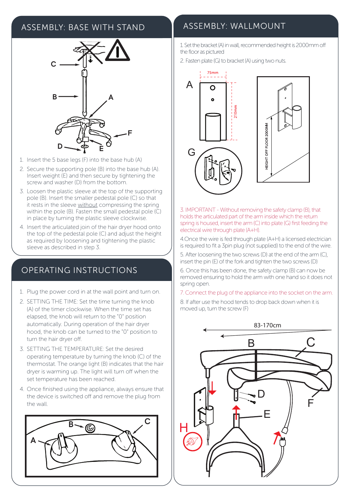

- 1. Insert the 5 base legs (F) into the base hub (A)
- 2. Secure the supporting pole (B) into the base hub (A). Insert weight (E) and then secure by tightening the screw and washer (D) from the bottom.
- 3. Loosen the plastic sleeve at the top of the supporting pole (B). Insert the smaller pedestal pole (C) so that it rests in the sleeve without compressing the spring within the pole (B). Fasten the small pedestal pole (C) in place by turning the plastic sleeve clockwise.
- 4. Insert the articulated join of the hair dryer hood onto the top of the pedestal pole (C) and adjust the height as required by loosening and tightening the plastic sleeve as described in step 3.

### OPERATING INSTRUCTIONS

- 1. Plug the power cord in at the wall point and turn on.
- 2. SETTING THE TIME: Set the time turning the knob (A) of the timer clockwise. When the time set has elapsed, the knob will return to the "0" position automatically. During operation of the hair dryer hood, the knob can be turned to the "0" position to turn the hair dryer off.
- 3. SETTING THE TEMPERATURE: Set the desired operating temperature by turning the knob (C) of the thermostat. The orange light (B) indicates that the hair dryer is warming up. The light will turn off when the set temperature has been reached.
- 4. Once finished using the appliance, always ensure that the device is switched off and remove the plug from the wall.



## ASSEMBLY: BASE WITH STAND ASSEMBLY: WALLMOUNT

1. Set the bracket (A) in wall, recommended height is 2000mm off the floor as pictured

2. Fasten plate (G) to bracket (A) using two nuts.





3. IMPORTANT - Without removing the safety clamp (B), that holds the articulated part of the arm inside which the return spring is housed, insert the arm (C) into plate (G) first feeding the electrical wire through plate (A+H).

4.Once the wire is fed through plate (A+H) a licensed electrician is required to fit a 3pin plug (not supplied) to the end of the wire.

5. After loosening the two screws (D) at the end of the arm (C), insert the pin (E) of the fork and tighten the two screws (D)

6. Once this has been done, the safety clamp (B) can now be removed ensuring to hold the arm with one hand so it does not spring open.

7. Connect the plug of the appliance into the socket on the arm.

8. If after use the hood tends to drop back down when it is moved up, turn the screw (F)